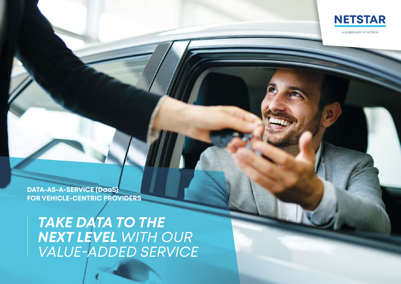

A SUBSIDIARY OF ALTRON

**DATA-AS-A-SERVICE (DaaS) FOR VEHICLE-CENTRIC PROVIDERS**

*TAKE DATA TO THE NEXT LEVEL WITH OUR VALUE-ADDED SERVICE*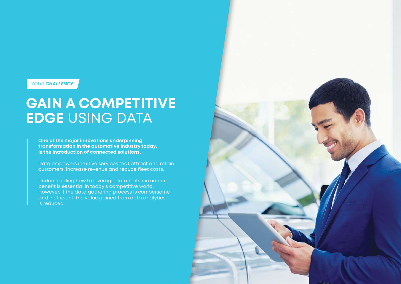*YOUR CHALLENGE*

## **GAIN A COMPETITIVE EDGE** USING DATA

**One of the major innovations underpinning transformation in the automotive industry today, is the introduction of connected solutions.**

Data empowers intuitive services that attract and retain customers, increase revenue and reduce fleet costs.

Understanding how to leverage data to its maximum benefit is essential in today's competitive world. However, if the data gathering process is cumbersome and inefficient, the value gained from data analytics is reduced.

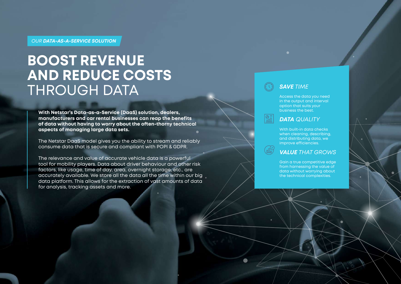#### *OUR DATA-AS-A-SERVICE SOLUTION*

## **BOOST REVENUE AND REDUCE COSTS**  THROUGH DATA

**With Netstar's Data-as-a-Service (DaaS) solution, dealers, manufacturers and car rental businesses can reap the benefits of data without having to worry about the often-thorny technical aspects of managing large data sets.**

The Netstar DaaS model gives you the ability to stream and reliably consume data that is secure and compliant with POPI & GDPR.

The relevance and value of accurate vehicle data is a powerful tool for mobility players. Data about driver behaviour and other risk factors, like usage, time of day, area, overnight storage, etc., are accurately available. We store all the data all the time within our big data platform. This allows for the extraction of vast amounts of data for analysis, tracking assets and more.

### *SAVE TIME*

Access the data you need in the output and interval option that suits your business the best.

#### *DATA QUALITY*

With built-in data checks when cleaning, describing, and distributing data, we improve efficiencies.

#### *VALUE THAT GROWS*

Gain a true competitive edge from harnessing the value of data without worrying about the technical complexities.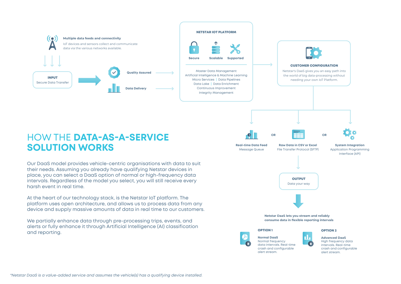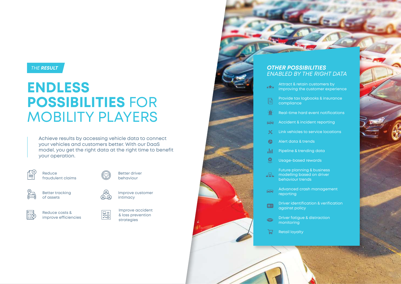### *THE RESULT*

# **ENDLESS POSSIBILITIES** FOR MOBILITY PLAYERS

Achieve results by accessing vehicle data to connect your vehicles and customers better. With our DaaS model, you get the right data at the right time to benefit your operation.



Reduce fraudulent claims





Reduce costs & improve efficiencies **R**



Improve accident & loss prevention strategies

Improve customer

Better driver behaviour

intimacy



- $\star \star \star$ improving the customer experience
- Provide tax logbooks & insurance F compliance
- Real-time hard event notifications ⋒
- Accident & incident reporting 88
- $\mathsf{\tilde{X}}$ Link vehicles to service locations
- Alert data & trends œ
- Pipeline & trending data ah t
- $\boldsymbol{\Omega}$ Usage-based rewards
- Future planning & business  $\frac{1}{\sqrt{1-\frac{1}{\sqrt{1-\frac{1}{\sqrt{1-\frac{1}{\sqrt{1-\frac{1}{\sqrt{1-\frac{1}{\sqrt{1-\frac{1}{\sqrt{1-\frac{1}{\sqrt{1-\frac{1}{\sqrt{1-\frac{1}{\sqrt{1-\frac{1}{\sqrt{1-\frac{1}{\sqrt{1-\frac{1}{\sqrt{1-\frac{1}{\sqrt{1-\frac{1}{\sqrt{1-\frac{1}{\sqrt{1-\frac{1}{\sqrt{1-\frac{1}{\sqrt{1-\frac{1}{\sqrt{1-\frac{1}{\sqrt{1-\frac{1}{\sqrt{1-\frac{1}{\sqrt{1+\frac{1}{\sqrt{1-\frac{1}{\sqrt{1+\frac{1$ behaviour trends
- Advanced crash management  $\bigoplus$ reporting
- Driver identification & verification  $\boxed{\circledast}$ against policy
- Driver fatigue & distraction  $\bigcirc$ monitoring

芦 Retail loyalty